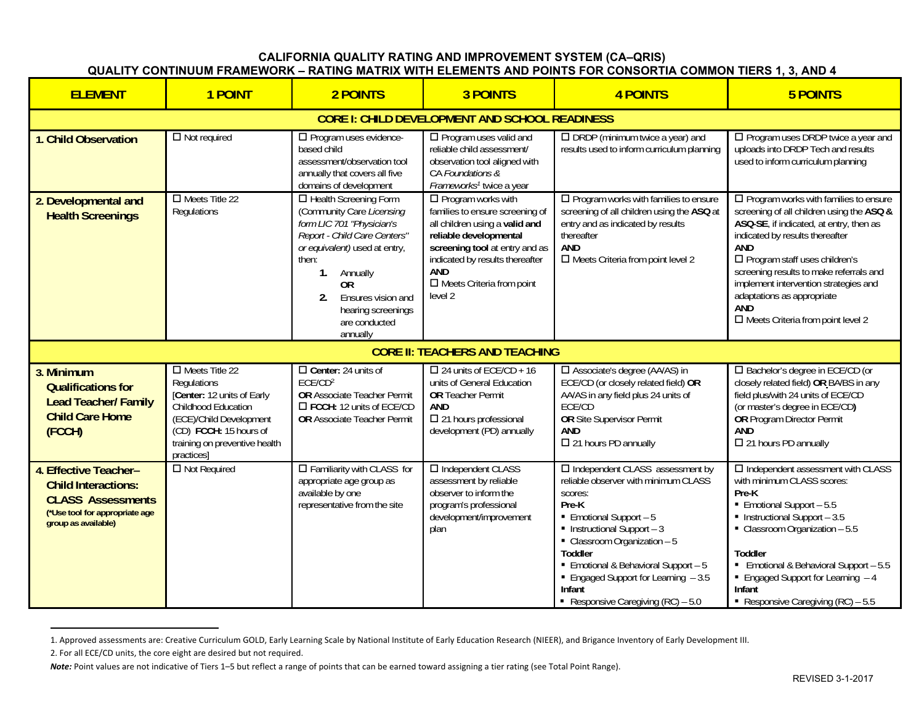## **CALIFORNIA QUALITY RATING AND IMPROVEMENT SYSTEM (CA–QRIS) QUALITY CONTINUUM FRAMEWORK – RATING MATRIX WITH ELEMENTS AND POINTS FOR CONSORTIA COMMON TIERS 1, 3, AND 4**

|                                                       | <b>ELEMENT</b>                                                                                                                           | 1 POINT                                                                                                                                                                                       | 2 POINTS                                                                                                                                                                                                                                                                           | <b>3 POINTS</b>                                                                                                                                                                                                                                     | <b>4 POINTS</b>                                                                                                                                                                                                                                                                                                                                            | <b>5 POINTS</b>                                                                                                                                                                                                                                                                                                                                                                                         |  |
|-------------------------------------------------------|------------------------------------------------------------------------------------------------------------------------------------------|-----------------------------------------------------------------------------------------------------------------------------------------------------------------------------------------------|------------------------------------------------------------------------------------------------------------------------------------------------------------------------------------------------------------------------------------------------------------------------------------|-----------------------------------------------------------------------------------------------------------------------------------------------------------------------------------------------------------------------------------------------------|------------------------------------------------------------------------------------------------------------------------------------------------------------------------------------------------------------------------------------------------------------------------------------------------------------------------------------------------------------|---------------------------------------------------------------------------------------------------------------------------------------------------------------------------------------------------------------------------------------------------------------------------------------------------------------------------------------------------------------------------------------------------------|--|
| <b>CORE I: CHILD DEVELOPMENT AND SCHOOL READINESS</b> |                                                                                                                                          |                                                                                                                                                                                               |                                                                                                                                                                                                                                                                                    |                                                                                                                                                                                                                                                     |                                                                                                                                                                                                                                                                                                                                                            |                                                                                                                                                                                                                                                                                                                                                                                                         |  |
|                                                       | 1. Child Observation                                                                                                                     | $\Box$ Not required                                                                                                                                                                           | $\Box$ Program uses evidence-<br>based child<br>assessment/observation tool<br>annually that covers all five<br>domains of development                                                                                                                                             | $\Box$ Program uses valid and<br>reliable child assessment/<br>observation tool aligned with<br>CA Foundations &<br>Frameworks <sup>1</sup> twice a year                                                                                            | $\Box$ DRDP (minimum twice a year) and<br>results used to inform curriculum planning                                                                                                                                                                                                                                                                       | □ Program uses DRDP twice a year and<br>uploads into DRDP Tech and results<br>used to inform curriculum planning                                                                                                                                                                                                                                                                                        |  |
|                                                       | 2. Developmental and<br><b>Health Screenings</b>                                                                                         | □ Meets Title 22<br>Regulations                                                                                                                                                               | □ Health Screening Form<br>(Community Care Licensing<br>form LIC 701 "Physician's<br>Report - Child Care Centers"<br>or equivalent) used at entry,<br>then:<br>$1_{\cdot}$<br>Annually<br><b>OR</b><br>Ensures vision and<br>2.<br>hearing screenings<br>are conducted<br>annually | $\Box$ Program works with<br>families to ensure screening of<br>all children using a valid and<br>reliable developmental<br>screening tool at entry and as<br>indicated by results thereafter<br>AND<br>$\Box$ Meets Criteria from point<br>level 2 | $\square$ Program works with families to ensure<br>screening of all children using the ASQ at<br>entry and as indicated by results<br>thereafter<br><b>AND</b><br>$\square$ Meets Criteria from point level 2                                                                                                                                              | $\Box$ Program works with families to ensure<br>screening of all children using the ASQ &<br>ASQ-SE, if indicated, at entry, then as<br>indicated by results thereafter<br><b>AND</b><br>□ Program staff uses children's<br>screening results to make referrals and<br>implement intervention strategies and<br>adaptations as appropriate<br><b>AND</b><br>$\square$ Meets Criteria from point level 2 |  |
| <b>CORE II: TEACHERS AND TEACHING</b>                 |                                                                                                                                          |                                                                                                                                                                                               |                                                                                                                                                                                                                                                                                    |                                                                                                                                                                                                                                                     |                                                                                                                                                                                                                                                                                                                                                            |                                                                                                                                                                                                                                                                                                                                                                                                         |  |
|                                                       | 3. Minimum<br><b>Qualifications for</b><br><b>Lead Teacher/ Family</b><br><b>Child Care Home</b><br>(FCCH)                               | $\Box$ Meets Title 22<br>Regulations<br>[Center: 12 units of Early<br>Childhood Education<br>(ECE)/Child Development<br>(CD) FCCH: 15 hours of<br>training on preventive health<br>practices] | $\Box$ Center: 24 units of<br>ECE/CD <sup>2</sup><br>OR Associate Teacher Permit<br>ECCH: 12 units of ECE/CD<br><b>OR Associate Teacher Permit</b>                                                                                                                                 | $\Box$ 24 units of ECE/CD + 16<br>units of General Education<br><b>OR Teacher Permit</b><br><b>AND</b><br>$\square$ 21 hours professional<br>development (PD) annually                                                                              | □ Associate's degree (AA/AS) in<br>ECE/CD (or closely related field) OR<br>AA/AS in any field plus 24 units of<br>ECE/CD<br>OR Site Supervisor Permit<br>AND<br>□ 21 hours PD annually                                                                                                                                                                     | □ Bachelor's degree in ECE/CD (or<br>closely related field) OR BA/BS in any<br>field plus/with 24 units of ECE/CD<br>(or master's degree in ECE/CD)<br>OR Program Director Permit<br><b>AND</b><br>$\square$ 21 hours PD annually                                                                                                                                                                       |  |
|                                                       | 4. Effective Teacher-<br><b>Child Interactions:</b><br><b>CLASS Assessments</b><br>(*Use tool for appropriate age<br>group as available) | $\Box$ Not Required                                                                                                                                                                           | □ Familiarity with CLASS for<br>appropriate age group as<br>available by one<br>representative from the site                                                                                                                                                                       | □ Independent CLASS<br>assessment by reliable<br>observer to inform the<br>program's professional<br>development/improvement<br>plan                                                                                                                | □ Independent CLASS assessment by<br>reliable observer with minimum CLASS<br>scores:<br>Pre-K<br>• Emotional Support - 5<br>$\blacksquare$ Instructional Support - 3<br>$\blacksquare$ Classroom Organization - 5<br>Toddler<br>Emotional & Behavioral Support - 5<br>• Engaged Support for Learning - 3.5<br>Infant<br>Responsive Caregiving $(RC) - 5.0$ | $\square$ Independent assessment with CLASS<br>with minimum CLASS scores:<br>Pre-K<br>Emotional Support - 5.5<br>Instructional Support - 3.5<br>Classroom Organization - 5.5<br>Toddler<br>Emotional & Behavioral Support - 5.5<br>$\blacksquare$ Engaged Support for Learning $-4$<br>Infant<br>Responsive Caregiving $(RC) - 5.5$                                                                     |  |

<sup>1.</sup> Approved assessments are: Creative Curriculum GOLD, Early Learning Scale by National Institute of Early Education Research (NIEER), and Brigance Inventory of Early Development III.

<sup>2.</sup> For all ECE/CD units, the core eight are desired but not required.

*Note:* Point values are not indicative of Tiers 1–5 but reflect a range of points that can be earned toward assigning a tier rating (see Total Point Range).